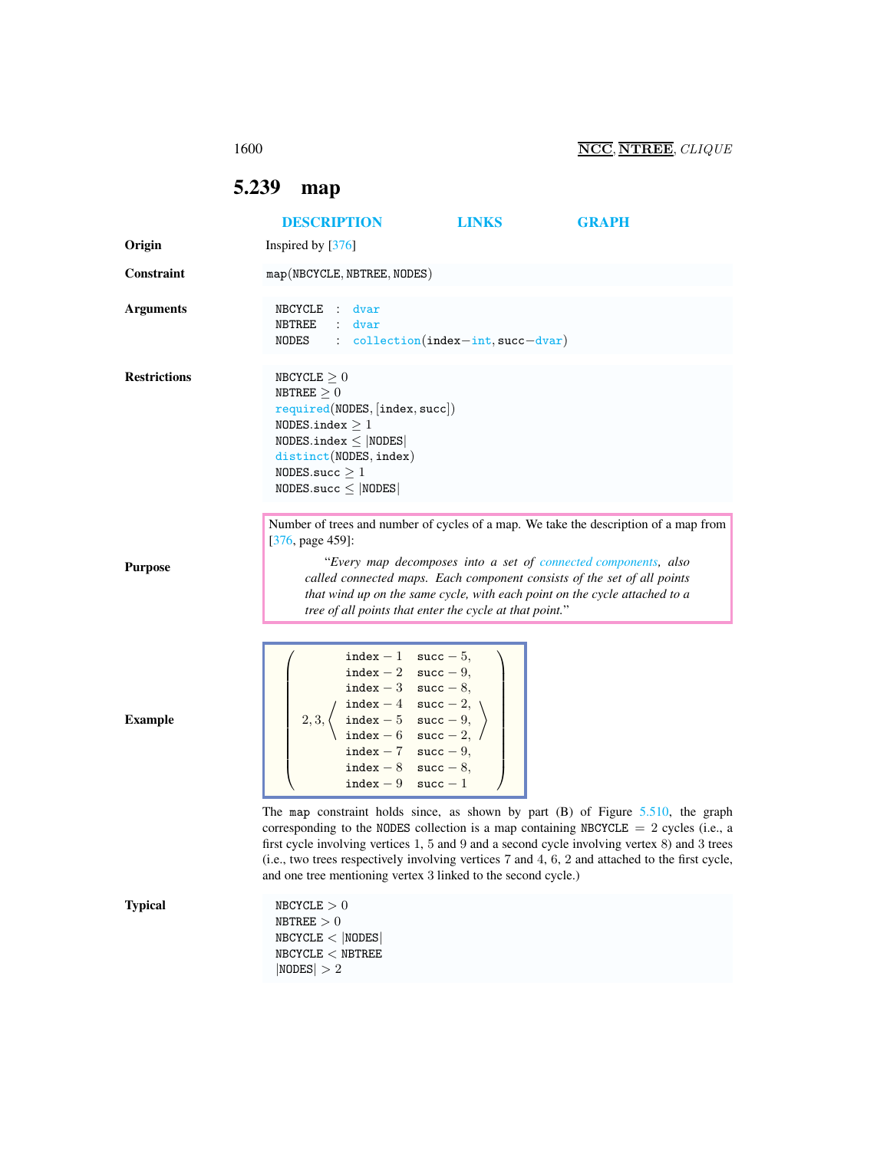<span id="page-0-0"></span>5.239 map

|                     | <b>DESCRIPTION</b>                                                                                                                                                                                                                                                                                                                                                                                                                               | <b>LINKS</b>                         | <b>GRAPH</b>                                                                                                                                           |
|---------------------|--------------------------------------------------------------------------------------------------------------------------------------------------------------------------------------------------------------------------------------------------------------------------------------------------------------------------------------------------------------------------------------------------------------------------------------------------|--------------------------------------|--------------------------------------------------------------------------------------------------------------------------------------------------------|
| Origin              | Inspired by $[376]$                                                                                                                                                                                                                                                                                                                                                                                                                              |                                      |                                                                                                                                                        |
| Constraint          | map(NBCYCLE, NBTREE, NODES)                                                                                                                                                                                                                                                                                                                                                                                                                      |                                      |                                                                                                                                                        |
| <b>Arguments</b>    | NBCYCLE : dvar<br>: dvar<br>NBTREE<br>NODES                                                                                                                                                                                                                                                                                                                                                                                                      | $:$ collection(index-int, succ-dvar) |                                                                                                                                                        |
| <b>Restrictions</b> | NBCYCLE > 0<br>NBTREE $\geq 0$<br>required(NDDES, [index, succ])<br>NODES.index $\geq 1$<br>NODES.index $\leq$ NODES<br>distinct(NODES, index)<br>NODES.succ $\geq 1$<br>$NODES.size \leq  NODES $                                                                                                                                                                                                                                               |                                      |                                                                                                                                                        |
| <b>Purpose</b>      | $[376, page 459]$ :<br>called connected maps. Each component consists of the set of all points<br>that wind up on the same cycle, with each point on the cycle attached to a<br>tree of all points that enter the cycle at that point."                                                                                                                                                                                                          |                                      | Number of trees and number of cycles of a map. We take the description of a map from<br>"Every map decomposes into a set of connected components, also |
| <b>Example</b>      | index - 1 succ - 5,<br>$\mathtt{index} - 2 \quad \mathtt{succ} - 9,$<br>index - 3 succ - 8,<br>index - 4 succ - 2,<br>index - 5 succ - 9,<br>index - 6 succ - 2,<br>index $-7$ succ $-9$ ,<br>index $-8$ succ $-8$ ,<br>$index - 9$                                                                                                                                                                                                              | $succ-1$                             |                                                                                                                                                        |
|                     | The map constraint holds since, as shown by part $(B)$ of Figure 5.510, the graph<br>corresponding to the NODES collection is a map containing NBCYCLE $= 2$ cycles (i.e., a<br>first cycle involving vertices 1, 5 and 9 and a second cycle involving vertex 8) and 3 trees<br>(i.e., two trees respectively involving vertices 7 and 4, 6, 2 and attached to the first cycle,<br>and one tree mentioning vertex 3 linked to the second cycle.) |                                      |                                                                                                                                                        |
| <b>Typical</b>      | ${\tt NBCYCLE}>0$<br>$\texttt{NBTREE}>0$<br>NBCYCLE <  NODES <br>${\tt NBCYCLE} < {\tt NBTREE}$<br> NODES  > 2                                                                                                                                                                                                                                                                                                                                   |                                      |                                                                                                                                                        |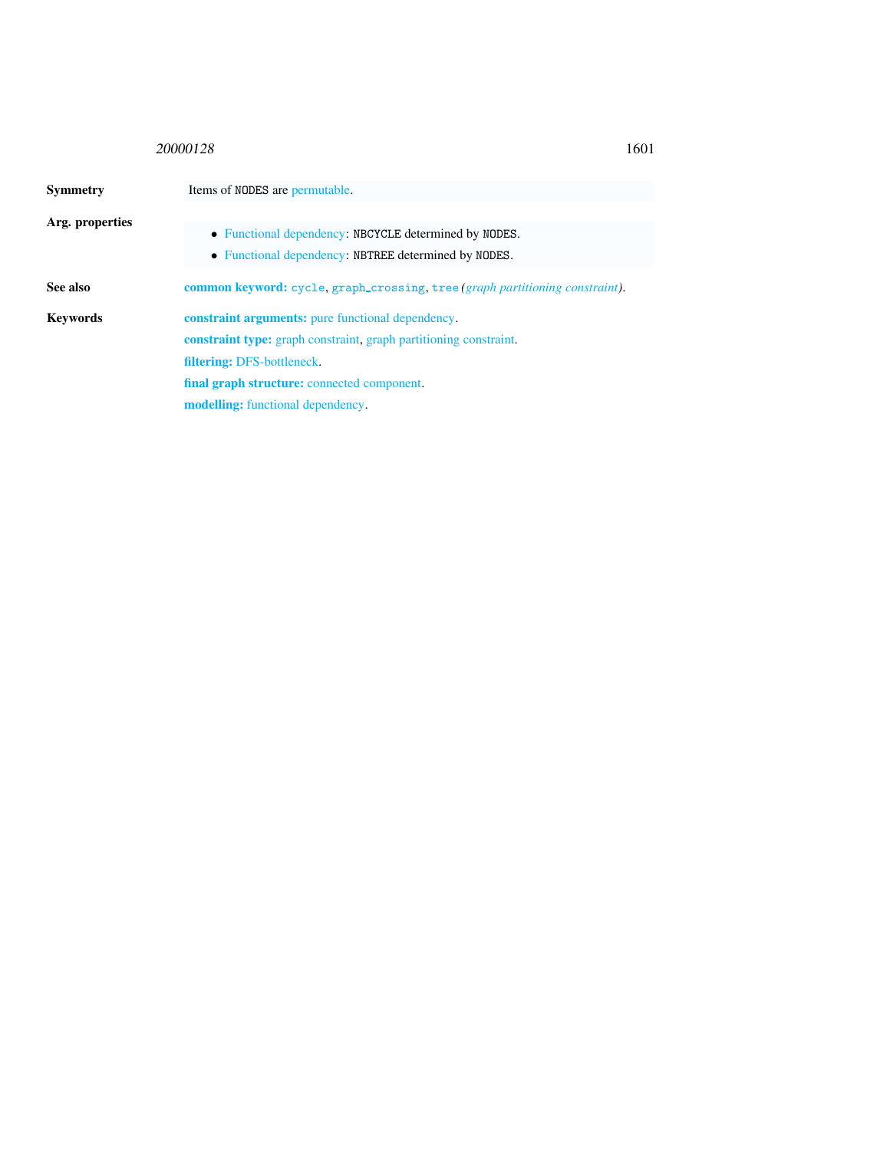## <sup>20000128</sup> 1601

## <span id="page-1-0"></span>Symmetry Items of NODES are permutable. Arg. properties • Functional dependency: NBCYCLE determined by NODES. • Functional dependency: NBTREE determined by NODES. See also common keyword: cycle, graph\_crossing, tree *(graph partitioning constraint)*. Keywords constraint arguments: pure functional dependency. constraint type: graph constraint, graph partitioning constraint. filtering: DFS-bottleneck. final graph structure: connected component. modelling: functional dependency.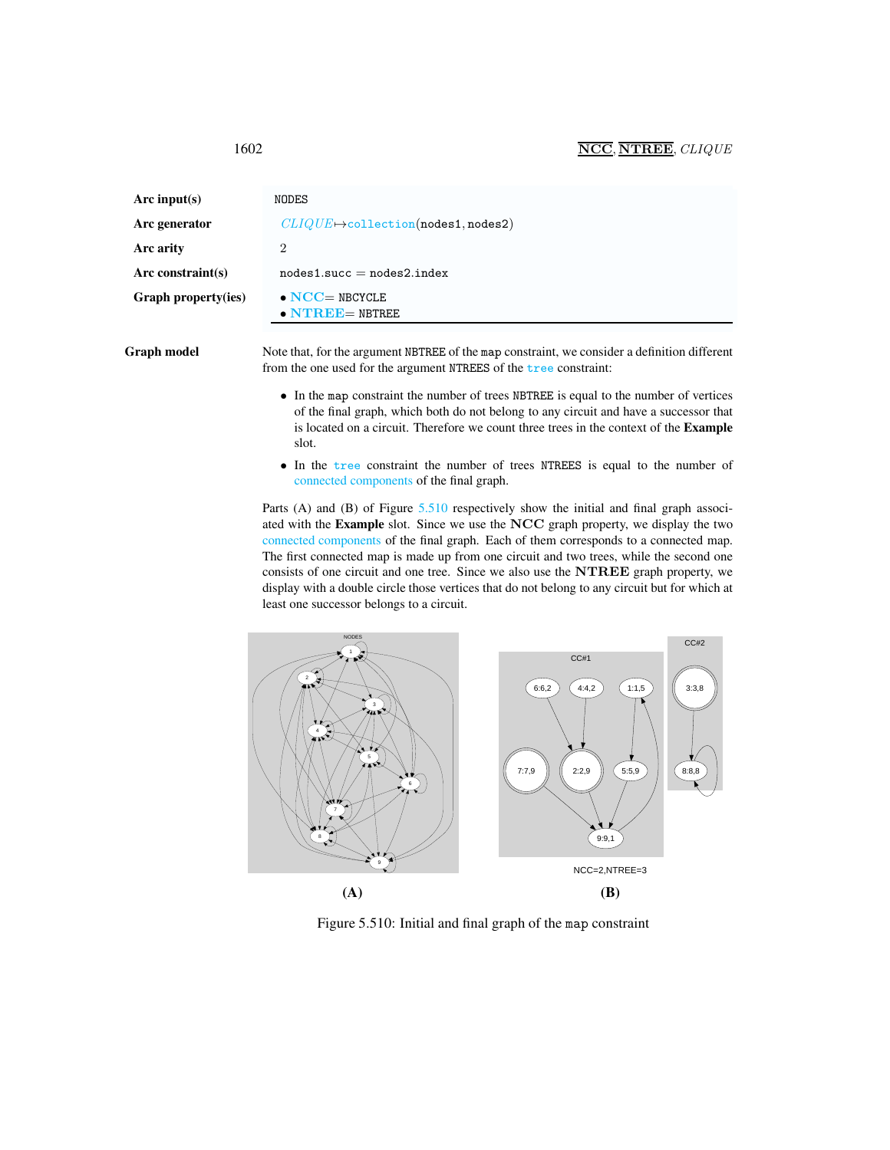## 1602 NCC, NTREE, CLIQUE

| Arc input(s)               | NODES                                             |
|----------------------------|---------------------------------------------------|
| Arc generator              | $CLIQUE \rightarrow collection(nodes1, nodes2)$   |
| Arc arity                  | 2                                                 |
| Arc constraint(s)          | $nodes1.succ = nodes2.index$                      |
| <b>Graph property(ies)</b> | $\bullet$ NCC= NBCYCLE<br>$\bullet$ NTREE= NBTREE |

Graph model Note that, for the argument NBTREE of the map constraint, we consider a definition different from the one used for the argument NTREES of the tree constraint:

- In the map constraint the number of trees NBTREE is equal to the number of vertices of the final graph, which both do not belong to any circuit and have a successor that is located on a circuit. Therefore we count three trees in the context of the Example slot.
- In the tree constraint the number of trees NTREES is equal to the number of connected components of the final graph.

Parts (A) and (B) of Figure [5.510](#page-2-1) respectively show the initial and final graph associated with the Example slot. Since we use the NCC graph property, we display the two connected components of the final graph. Each of them corresponds to a connected map. The first connected map is made up from one circuit and two trees, while the second one consists of one circuit and one tree. Since we also use the NTREE graph property, we display with a double circle those vertices that do not belong to any circuit but for which at least one successor belongs to a circuit.



<span id="page-2-1"></span>Figure 5.510: Initial and final graph of the map constraint

<span id="page-2-0"></span>